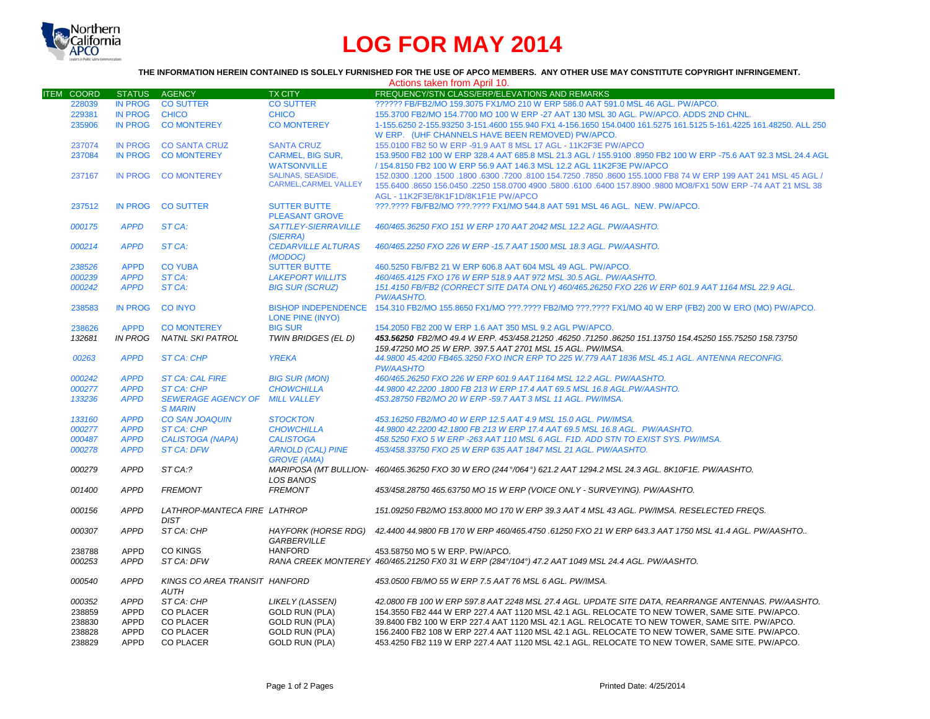

# **LOG FOR MAY 2014**

### **THE INFORMATION HEREIN CONTAINED IS SOLELY FURNISHED FOR THE USE OF APCO MEMBERS. ANY OTHER USE MAY CONSTITUTE COPYRIGHT INFRINGEMENT.**

| Actions taken from April 10. |                |                               |                              |                                                                                                                           |  |  |  |
|------------------------------|----------------|-------------------------------|------------------------------|---------------------------------------------------------------------------------------------------------------------------|--|--|--|
| <b>ITEM COORD</b>            | <b>STATUS</b>  | <b>AGENCY</b>                 | <b>TX CITY</b>               | FREQUENCY/STN CLASS/ERP/ELEVATIONS AND REMARKS                                                                            |  |  |  |
| 228039                       | <b>IN PROG</b> | <b>CO SUTTER</b>              | <b>CO SUTTER</b>             | ?????? FB/FB2/MO 159.3075 FX1/MO 210 W ERP 586.0 AAT 591.0 MSL 46 AGL, PW/APCO,                                           |  |  |  |
| 229381                       | <b>IN PROG</b> | <b>CHICO</b>                  | <b>CHICO</b>                 | 155.3700 FB2/MO 154.7700 MO 100 W ERP -27 AAT 130 MSL 30 AGL. PW/APCO, ADDS 2ND CHNL.                                     |  |  |  |
| 235906                       | <b>IN PROG</b> | <b>CO MONTEREY</b>            | <b>CO MONTEREY</b>           | 1-155.6250 2-155.93250 3-151.4600 155.940 FX1 4-156.1650 154.0400 161.5275 161.5125 5-161.4225 161.48250. ALL 250         |  |  |  |
|                              |                |                               |                              | W ERP. (UHF CHANNELS HAVE BEEN REMOVED) PW/APCO.                                                                          |  |  |  |
| 237074                       | <b>IN PROG</b> | <b>CO SANTA CRUZ</b>          | <b>SANTA CRUZ</b>            | 155,0100 FB2 50 W ERP -91.9 AAT 8 MSL 17 AGL - 11K2F3E PW/APCO                                                            |  |  |  |
| 237084                       | <b>IN PROG</b> | <b>CO MONTEREY</b>            | <b>CARMEL, BIG SUR,</b>      | 153.9500 FB2 100 W ERP 328.4 AAT 685.8 MSL 21.3 AGL / 155.9100 .8950 FB2 100 W ERP -75.6 AAT 92.3 MSL 24.4 AGL            |  |  |  |
|                              |                |                               | <b>WATSONVILLE</b>           | / 154.8150 FB2 100 W ERP 56.9 AAT 146.3 MSL 12.2 AGL 11K2F3E PW/APCO                                                      |  |  |  |
| 237167                       | <b>IN PROG</b> | <b>CO MONTEREY</b>            | <b>SALINAS, SEASIDE,</b>     | 152,0300 1200 1500 16300 17200 18100 154,7250 .7850 .8600 155,1000 FB8 74 W ERP 199 AAT 241 MSL 45 AGL /                  |  |  |  |
|                              |                |                               | <b>CARMEL, CARMEL VALLEY</b> |                                                                                                                           |  |  |  |
|                              |                |                               |                              | 155.6400 .8650 156.0450 .2250 158.0700 4900 .5800 .6100 .6400 157.8900 .9800 MO8/FX1 50W ERP -74 AAT 21 MSL 38            |  |  |  |
|                              |                |                               |                              | AGL - 11K2F3E/8K1F1D/8K1F1E PW/APCO                                                                                       |  |  |  |
| 237512                       | <b>IN PROG</b> | <b>CO SUTTER</b>              | <b>SUTTER BUTTE</b>          | ???.???? FB/FB2/MO ???.???? FX1/MO 544.8 AAT 591 MSL 46 AGL. NEW. PW/APCO.                                                |  |  |  |
|                              |                |                               | <b>PLEASANT GROVE</b>        |                                                                                                                           |  |  |  |
| 000175                       | <b>APPD</b>    | ST CA:                        | SATTLEY-SIERRAVILLE          | 460/465.36250 FXO 151 W ERP 170 AAT 2042 MSL 12.2 AGL. PW/AASHTO.                                                         |  |  |  |
|                              |                |                               | (SIERRA)                     |                                                                                                                           |  |  |  |
| 000214                       | <b>APPD</b>    | ST CA:                        | <b>CEDARVILLE ALTURAS</b>    | 460/465.2250 FXO 226 W ERP -15.7 AAT 1500 MSL 18.3 AGL, PW/AASHTO.                                                        |  |  |  |
|                              |                |                               | (MODOC)                      |                                                                                                                           |  |  |  |
| 238526                       | <b>APPD</b>    | <b>CO YUBA</b>                | <b>SUTTER BUTTE</b>          | 460.5250 FB/FB2 21 W ERP 606.8 AAT 604 MSL 49 AGL. PW/APCO.                                                               |  |  |  |
| 000239                       | <b>APPD</b>    | ST CA:                        | <b>LAKEPORT WILLITS</b>      | 460/465.4125 FXO 176 W ERP 518.9 AAT 972 MSL 30.5 AGL. PW/AASHTO.                                                         |  |  |  |
| 000242                       | <b>APPD</b>    | ST CA:                        | <b>BIG SUR (SCRUZ)</b>       | 151.4150 FB/FB2 (CORRECT SITE DATA ONLY) 460/465.26250 FXO 226 W ERP 601.9 AAT 1164 MSL 22.9 AGL.                         |  |  |  |
|                              |                |                               |                              | <b>PW/AASHTO.</b>                                                                                                         |  |  |  |
| 238583                       | <b>IN PROG</b> | <b>CO INYO</b>                |                              | BISHOP INDEPENDENCE 154.310 FB2/MO 155.8650 FX1/MO ???.???? FB2/MO ???.???? FX1/MO 40 W ERP (FB2) 200 W ERO (MO) PW/APCO. |  |  |  |
|                              |                |                               | LONE PINE (INYO)             |                                                                                                                           |  |  |  |
| 238626                       | <b>APPD</b>    | <b>CO MONTEREY</b>            | <b>BIG SUR</b>               | 154, 2050 FB2 200 W ERP 1.6 AAT 350 MSL 9.2 AGL PW/APCO.                                                                  |  |  |  |
| 132681                       | <b>IN PROG</b> | NATNL SKI PATROL              | TWIN BRIDGES (EL D)          | 453.56250 155.75250 158.73750 151.13750 154.45250 155.035250 154.45250 155.75250 158.73750                                |  |  |  |
|                              |                |                               |                              | 159.47250 MO 25 W ERP. 397.5 AAT 2701 MSL 15 AGL. PW/IMSA.                                                                |  |  |  |
| 00263                        | <b>APPD</b>    | <b>ST CA: CHP</b>             | <b>YREKA</b>                 | 44.9800 45.4200 FB465.3250 FXO INCR ERP TO 225 W.779 AAT 1836 MSL 45.1 AGL. ANTENNA RECONFIG.                             |  |  |  |
|                              |                |                               |                              | <b>PW/AASHTO</b>                                                                                                          |  |  |  |
| 000242                       | <b>APPD</b>    | <b>ST CA: CAL FIRE</b>        | <b>BIG SUR (MON)</b>         | 460/465.26250 FXO 226 W ERP 601.9 AAT 1164 MSL 12.2 AGL. PW/AASHTO.                                                       |  |  |  |
| 000277                       | <b>APPD</b>    | <b>ST CA: CHP</b>             | <b>CHOWCHILLA</b>            | 44.9800 42.2200 .1800 FB 213 W ERP 17.4 AAT 69.5 MSL 16.8 AGL.PW/AASHTO.                                                  |  |  |  |
| 133236                       | <b>APPD</b>    | <b>SEWERAGE AGENCY OF</b>     | <b>MILL VALLEY</b>           | 453.28750 FB2/MO 20 W ERP -59.7 AAT 3 MSL 11 AGL. PW/IMSA.                                                                |  |  |  |
|                              |                | <b>S MARIN</b>                |                              |                                                                                                                           |  |  |  |
| 133160                       | <b>APPD</b>    | <b>CO SAN JOAQUIN</b>         | <b>STOCKTON</b>              | 453.16250 FB2/MO 40 W ERP 12.5 AAT 4.9 MSL 15.0 AGL, PW/IMSA.                                                             |  |  |  |
| 000277                       | <b>APPD</b>    | <b>ST CA: CHP</b>             | <b>CHOWCHILLA</b>            | 44.9800 42.2200 42.1800 FB 213 W ERP 17.4 AAT 69.5 MSL 16.8 AGL. PW/AASHTO.                                               |  |  |  |
| 000487                       | <b>APPD</b>    | <b>CALISTOGA (NAPA)</b>       | <b>CALISTOGA</b>             | 458.5250 FXO 5 W ERP -263 AAT 110 MSL 6 AGL. F1D. ADD STN TO EXIST SYS. PW/IMSA.                                          |  |  |  |
| 000278                       | <b>APPD</b>    | <b>ST CA: DFW</b>             | <b>ARNOLD (CAL) PINE</b>     | 453/458.33750 FXO 25 W ERP 635 AAT 1847 MSL 21 AGL, PW/AASHTO.                                                            |  |  |  |
|                              |                |                               | <b>GROVE (AMA)</b>           |                                                                                                                           |  |  |  |
| 000279                       | <b>APPD</b>    | ST CA:?                       |                              | MARIPOSA (MT BULLION- 460/465.36250 FXO 30 W ERO (244°/064°) 621.2 AAT 1294.2 MSL 24.3 AGL. 8K10F1E. PW/AASHTO.           |  |  |  |
|                              |                |                               | <b>LOS BANOS</b>             |                                                                                                                           |  |  |  |
| 001400                       | <b>APPD</b>    | <b>FREMONT</b>                | <b>FREMONT</b>               | 453/458.28750 465.63750 MO 15 W ERP (VOICE ONLY - SURVEYING). PW/AASHTO.                                                  |  |  |  |
|                              |                |                               |                              |                                                                                                                           |  |  |  |
| 000156                       | <b>APPD</b>    | LATHROP-MANTECA FIRE LATHROP  |                              | 151.09250 FB2/MO 153.8000 MO 170 W ERP 39.3 AAT 4 MSL 43 AGL. PW/IMSA, RESELECTED FREQS.                                  |  |  |  |
|                              |                | <b>DIST</b>                   |                              |                                                                                                                           |  |  |  |
| 000307                       | <b>APPD</b>    | ST CA: CHP                    |                              | HAYFORK (HORSE RDG) 42.4400 44.9800 FB 170 W ERP 460/465.4750 .61250 FXO 21 W ERP 643.3 AAT 1750 MSL 41.4 AGL. PW/AASHTO  |  |  |  |
|                              |                |                               | <b>GARBERVILLE</b>           |                                                                                                                           |  |  |  |
| 238788                       | APPD           | <b>CO KINGS</b>               | <b>HANFORD</b>               | 453.58750 MO 5 W ERP. PW/APCO.                                                                                            |  |  |  |
| 000253                       | <b>APPD</b>    | ST CA: DFW                    |                              | RANA CREEK MONTEREY 460/465.21250 FX0 31 W ERP (284°/104°) 47.2 AAT 1049 MSL 24.4 AGL. PW/AASHTO.                         |  |  |  |
|                              |                |                               |                              |                                                                                                                           |  |  |  |
| 000540                       | <b>APPD</b>    | KINGS CO AREA TRANSIT HANFORD |                              | 453.0500 FB/MO 55 W ERP 7.5 AAT 76 MSL 6 AGL. PW/IMSA.                                                                    |  |  |  |
|                              |                | <b>AUTH</b>                   |                              |                                                                                                                           |  |  |  |
|                              | <b>APPD</b>    | ST CA: CHP                    |                              |                                                                                                                           |  |  |  |
| 000352                       |                |                               | LIKELY (LASSEN)              | 42.0800 FB 100 W ERP 597.8 AAT 2248 MSL 27.4 AGL. UPDATE SITE DATA, REARRANGE ANTENNAS. PW/AASHTO.                        |  |  |  |
| 238859                       | <b>APPD</b>    | <b>CO PLACER</b>              | <b>GOLD RUN (PLA)</b>        | 154.3550 FB2 444 W ERP 227.4 AAT 1120 MSL 42.1 AGL. RELOCATE TO NEW TOWER, SAME SITE. PW/APCO.                            |  |  |  |
| 238830                       | APPD           | <b>CO PLACER</b>              | <b>GOLD RUN (PLA)</b>        | 39.8400 FB2 100 W ERP 227.4 AAT 1120 MSL 42.1 AGL. RELOCATE TO NEW TOWER, SAME SITE. PW/APCO.                             |  |  |  |
| 238828                       | <b>APPD</b>    | <b>CO PLACER</b>              | <b>GOLD RUN (PLA)</b>        | 156.2400 FB2 108 W ERP 227.4 AAT 1120 MSL 42.1 AGL. RELOCATE TO NEW TOWER, SAME SITE. PW/APCO.                            |  |  |  |
| 238829                       | <b>APPD</b>    | <b>CO PLACER</b>              | <b>GOLD RUN (PLA)</b>        | 453.4250 FB2 119 W ERP 227.4 AAT 1120 MSL 42.1 AGL. RELOCATE TO NEW TOWER, SAME SITE. PW/APCO.                            |  |  |  |